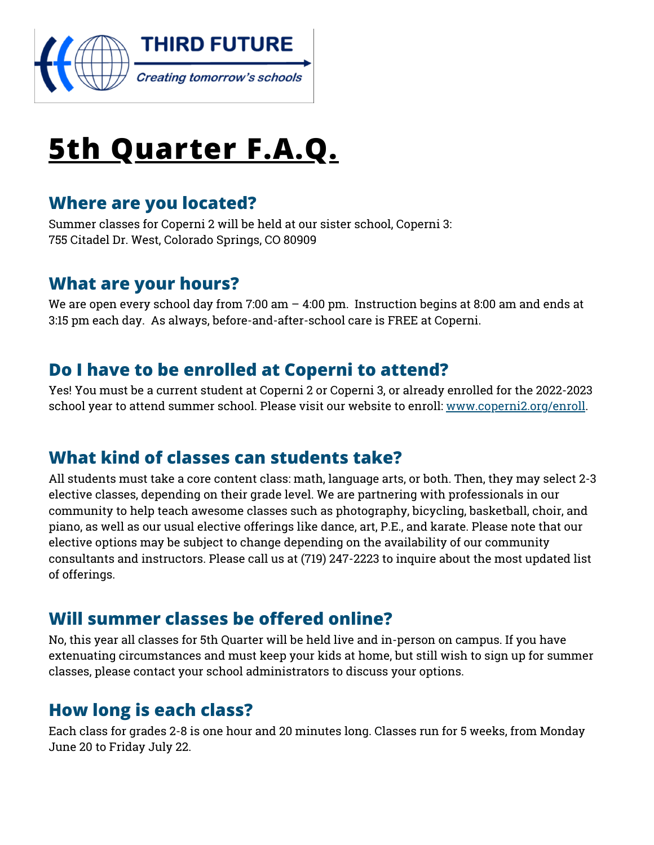

# **5th Quarter F.A.Q.**

#### **Where are you located?**

Summer classes for Coperni 2 will be held at our sister school, Coperni 3: 755 Citadel Dr. West, Colorado Springs, CO 80909

#### **What are your hours?**

We are open every school day from 7:00 am – 4:00 pm. Instruction begins at 8:00 am and ends at 3:15 pm each day. As always, before-and-after-school care is FREE at Coperni.

#### **Do I have to be enrolled at Coperni to attend?**

Yes! You must be a current student at Coperni 2 or Coperni 3, or already enrolled for the 2022-2023 school year to attend summer school. Please visit our website to enroll: [www.coperni2.org/enroll](http://www.coperni2.org/enroll).

#### **What kind of classes can students take?**

All students must take a core content class: math, language arts, or both. Then, they may select 2-3 elective classes, depending on their grade level. We are partnering with professionals in our community to help teach awesome classes such as photography, bicycling, basketball, choir, and piano, as well as our usual elective offerings like dance, art, P.E., and karate. Please note that our elective options may be subject to change depending on the availability of our community consultants and instructors. Please call us at (719) 247-2223 to inquire about the most updated list of offerings.

#### **Will summer classes be offered online?**

No, this year all classes for 5th Quarter will be held live and in-person on campus. If you have extenuating circumstances and must keep your kids at home, but still wish to sign up for summer classes, please contact your school administrators to discuss your options.

#### **How long is each class?**

Each class for grades 2-8 is one hour and 20 minutes long. Classes run for 5 weeks, from Monday June 20 to Friday July 22.